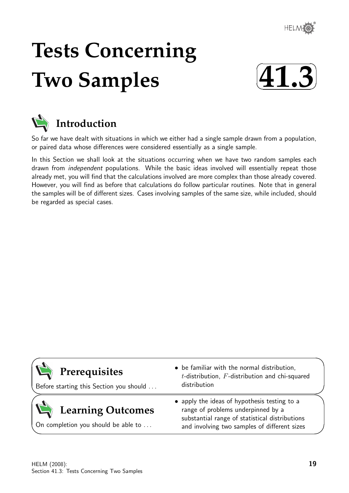

# **Tests Concerning Two Samples**





# **Introduction**

So far we have dealt with situations in which we either had a single sample drawn from a population, or paired data whose differences were considered essentially as a single sample.

In this Section we shall look at the situations occurring when we have two random samples each drawn from independent populations. While the basic ideas involved will essentially repeat those already met, you will find that the calculations involved are more complex than those already covered. However, you will find as before that calculations do follow particular routines. Note that in general the samples will be of different sizes. Cases involving samples of the same size, while included, should be regarded as special cases.

| Prerequisites<br>Before starting this Section you should        | • be familiar with the normal distribution,<br>$t$ -distribution, $F$ -distribution and chi-squared<br>distribution                                                                  |
|-----------------------------------------------------------------|--------------------------------------------------------------------------------------------------------------------------------------------------------------------------------------|
| <b>Learning Outcomes</b><br>On completion you should be able to | • apply the ideas of hypothesis testing to a<br>range of problems underpinned by a<br>substantial range of statistical distributions<br>and involving two samples of different sizes |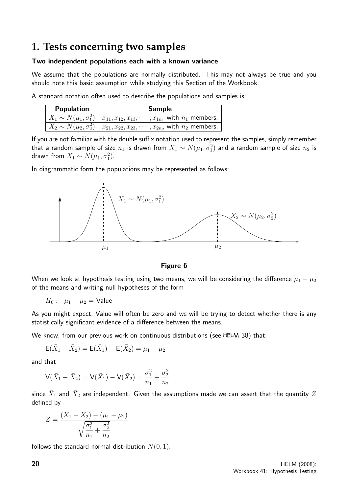## **1. Tests concerning two samples**

#### Two independent populations each with a known variance

We assume that the populations are normally distributed. This may not always be true and you should note this basic assumption while studying this Section of the Workbook.

A standard notation often used to describe the populations and samples is:

| <b>Population</b> | <b>Sample</b>                                                                                             |  |  |  |  |  |
|-------------------|-----------------------------------------------------------------------------------------------------------|--|--|--|--|--|
|                   | $X_1 \sim N(\mu_1, \sigma_1^2)   x_{11}, x_{12}, x_{13}, \cdots, x_{1n_1}$ with $n_1$ members.            |  |  |  |  |  |
|                   | $\boxed{X_2 \sim N(\mu_2, \sigma_2^2) \mid x_{21}, x_{22}, x_{23}, \cdots, x_{2n_2}}$ with $n_2$ members. |  |  |  |  |  |

If you are not familiar with the double suffix notation used to represent the samples, simply remember that a random sample of size  $n_1$  is drawn from  $X_1 \thicksim N(\mu_1, \sigma_1^2)$  and a random sample of size  $n_2$  is drawn from  $X_1 \sim N(\mu_1, \sigma_1^2)$ .

In diagrammatic form the populations may be represented as follows:



Figure 6

When we look at hypothesis testing using two means, we will be considering the difference  $\mu_1 - \mu_2$ of the means and writing null hypotheses of the form

 $H_0: \mu_1 - \mu_2 =$  Value

As you might expect, Value will often be zero and we will be trying to detect whether there is any statistically significant evidence of a difference between the means.

We know, from our previous work on continuous distributions (see HELM 38) that:

$$
E(\bar{X}_1 - \bar{X}_2) = E(\bar{X}_1) - E(\bar{X}_2) = \mu_1 - \mu_2
$$

and that

$$
V(\bar{X}_1 - \bar{X}_2) = V(\bar{X}_1) - V(\bar{X}_2) = \frac{\sigma_1^2}{n_1} + \frac{\sigma_2^2}{n_2}
$$

since  $\bar{X}_1$  and  $\bar{X}_2$  are independent. Given the assumptions made we can assert that the quantity  $Z$ defined by

$$
Z = \frac{(\bar{X}_1 - \bar{X}_2) - (\mu_1 - \mu_2)}{\sqrt{\frac{\sigma_1^2}{n_1} + \frac{\sigma_2^2}{n_2}}}
$$

follows the standard normal distribution  $N(0, 1)$ .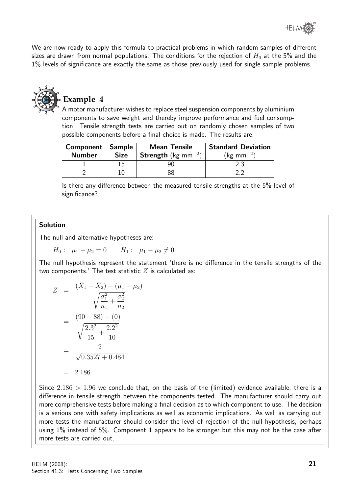We are now ready to apply this formula to practical problems in which random samples of different sizes are drawn from normal populations. The conditions for the rejection of  $H_0$  at the 5% and the 1% levels of significance are exactly the same as those previously used for single sample problems.



#### **Example 4**

A motor manufacturer wishes to replace steel suspension components by aluminium components to save weight and thereby improve performance and fuel consumption. Tensile strength tests are carried out on randomly chosen samples of two possible components before a final choice is made. The results are:

| Component   Sample |             | <b>Mean Tensile</b>                    | <b>Standard Deviation</b> |
|--------------------|-------------|----------------------------------------|---------------------------|
| <b>Number</b>      | <b>Size</b> | <b>Strength</b> (kg mm <sup>-2</sup> ) | $(\text{kg mm}^{-2})$     |
|                    | 15          |                                        | 2.3                       |
|                    |             | 88                                     |                           |

Is there any difference between the measured tensile strengths at the 5% level of significance?

#### Solution

The null and alternative hypotheses are:

$$
H_0: \ \mu_1 - \mu_2 = 0 \qquad H_1: \ \mu_1 - \mu_2 \neq 0
$$

The null hypothesis represent the statement 'there is no difference in the tensile strengths of the two components.' The test statistic  $Z$  is calculated as:

$$
Z = \frac{(\bar{X}_1 - \bar{X}_2) - (\mu_1 - \mu_2)}{\sqrt{\frac{\sigma_1^2}{n_1} + \frac{\sigma_2^2}{n_2}}}
$$

$$
= \frac{(90 - 88) - (0)}{\sqrt{\frac{2.3^2}{15} + \frac{2.2^2}{10}}}
$$

$$
= \frac{2}{\sqrt{0.3527 + 0.484}}
$$

$$
= 2.186
$$

Since  $2.186 > 1.96$  we conclude that, on the basis of the (limited) evidence available, there is a difference in tensile strength between the components tested. The manufacturer should carry out more comprehensive tests before making a final decision as to which component to use. The decision is a serious one with safety implications as well as economic implications. As well as carrying out more tests the manufacturer should consider the level of rejection of the null hypothesis, perhaps using 1% instead of 5%. Component 1 appears to be stronger but this may not be the case after more tests are carried out.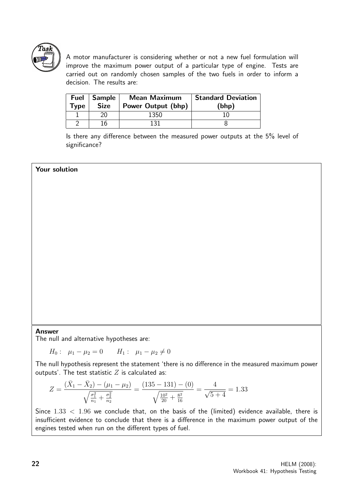

A motor manufacturer is considering whether or not a new fuel formulation will improve the maximum power output of a particular type of engine. Tests are carried out on randomly chosen samples of the two fuels in order to inform a decision. The results are:

| <b>Fuel</b><br><b>Type</b> | Sample<br><b>Size</b> | <b>Mean Maximum</b><br>Power Output (bhp) | <b>Standard Deviation</b><br>(bhp) |
|----------------------------|-----------------------|-------------------------------------------|------------------------------------|
|                            |                       | 1350                                      |                                    |
|                            | 16                    | 131                                       |                                    |

Is there any difference between the measured power outputs at the 5% level of significance?

#### Your solution

#### Answer

The null and alternative hypotheses are:

 $H_0: \mu_1 - \mu_2 = 0 \qquad H_1: \mu_1 - \mu_2 \neq 0$ 

The null hypothesis represent the statement 'there is no difference in the measured maximum power outputs'. The test statistic  $Z$  is calculated as:

$$
Z = \frac{(\bar{X}_1 - \bar{X}_2) - (\mu_1 - \mu_2)}{\sqrt{\frac{\sigma_1^2}{n_1} + \frac{\sigma_2^2}{n_2}}} = \frac{(135 - 131) - (0)}{\sqrt{\frac{10^2}{20} + \frac{8^2}{16}}} = \frac{4}{\sqrt{5} + 4} = 1.33
$$

Since  $1.33 < 1.96$  we conclude that, on the basis of the (limited) evidence available, there is insufficient evidence to conclude that there is a difference in the maximum power output of the engines tested when run on the different types of fuel.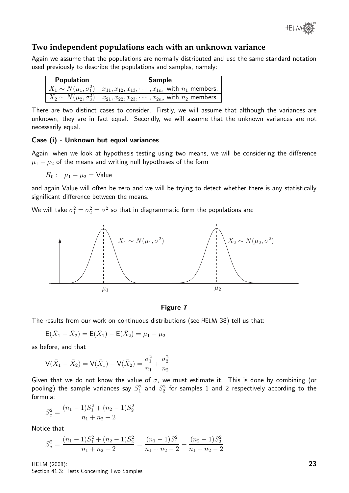

#### **Two independent populations each with an unknown variance**

Again we assume that the populations are normally distributed and use the same standard notation used previously to describe the populations and samples, namely:

| <b>Population</b> | <b>Sample</b>                                                                                             |  |  |  |
|-------------------|-----------------------------------------------------------------------------------------------------------|--|--|--|
|                   | $X_1 \sim N(\mu_1, \sigma_1^2)   x_{11}, x_{12}, x_{13}, \cdots, x_{1n_1}$ with $n_1$ members.            |  |  |  |
|                   | $\boxed{X_2 \sim N(\mu_2, \sigma_2^2) \mid x_{21}, x_{22}, x_{23}, \cdots, x_{2n_2}}$ with $n_2$ members. |  |  |  |

There are two distinct cases to consider. Firstly, we will assume that although the variances are unknown, they are in fact equal. Secondly, we will assume that the unknown variances are not necessarily equal.

#### Case (i) - Unknown but equal variances

Again, when we look at hypothesis testing using two means, we will be considering the difference  $\mu_1 - \mu_2$  of the means and writing null hypotheses of the form

 $H_0: \mu_1 - \mu_2 =$  Value

and again Value will often be zero and we will be trying to detect whether there is any statistically significant difference between the means.

We will take  $\sigma_1^2=\sigma_2^2=\sigma^2$  so that in diagrammatic form the populations are:



#### Figure 7

The results from our work on continuous distributions (see HELM 38) tell us that:

$$
E(\bar{X}_1 - \bar{X}_2) = E(\bar{X}_1) - E(\bar{X}_2) = \mu_1 - \mu_2
$$

as before, and that

$$
\mathsf{V}(\bar{X}_1 - \bar{X}_2) = \mathsf{V}(\bar{X}_1) - \mathsf{V}(\bar{X}_2) = \frac{\sigma_1^2}{n_1} + \frac{\sigma_2^2}{n_2}
$$

Given that we do not know the value of  $\sigma$ , we must estimate it. This is done by combining (or pooling) the sample variances say  $S_1^2$  and  $S_2^2$  for samples  $1$  and  $2$  respectively according to the formula:

$$
S_c^2 = \frac{(n_1 - 1)S_1^2 + (n_2 - 1)S_2^2}{n_1 + n_2 - 2}
$$

Notice that

$$
S_c^2 = \frac{(n_1 - 1)S_1^2 + (n_2 - 1)S_2^2}{n_1 + n_2 - 2} = \frac{(n_1 - 1)S_1^2}{n_1 + n_2 - 2} + \frac{(n_2 - 1)S_2^2}{n_1 + n_2 - 2}
$$

HELM (2008): Section 41.3: Tests Concerning Two Samples 23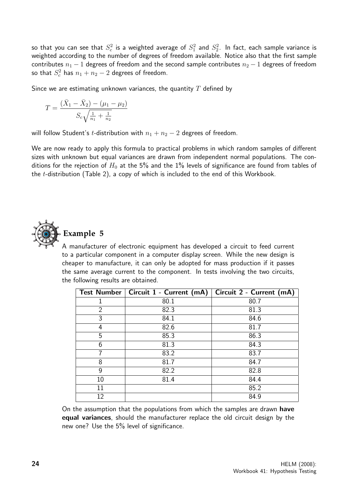so that you can see that  $S_c^2$  is a weighted average of  $S_1^2$  and  $S_2^2$ . In fact, each sample variance is weighted according to the number of degrees of freedom available. Notice also that the first sample contributes  $n_1 - 1$  degrees of freedom and the second sample contributes  $n_2 - 1$  degrees of freedom so that  $S_c^2$  has  $n_1+n_2-2$  degrees of freedom.

Since we are estimating unknown variances, the quantity  $T$  defined by

$$
T = \frac{(\bar{X}_1 - \bar{X}_2) - (\mu_1 - \mu_2)}{S_c \sqrt{\frac{1}{n_1} + \frac{1}{n_2}}}
$$

will follow Student's t-distribution with  $n_1 + n_2 - 2$  degrees of freedom.

We are now ready to apply this formula to practical problems in which random samples of different sizes with unknown but equal variances are drawn from independent normal populations. The conditions for the rejection of  $H_0$  at the 5% and the 1% levels of significance are found from tables of the t-distribution (Table 2), a copy of which is included to the end of this Workbook.



#### **Example 5**

A manufacturer of electronic equipment has developed a circuit to feed current to a particular component in a computer display screen. While the new design is cheaper to manufacture, it can only be adopted for mass production if it passes the same average current to the component. In tests involving the two circuits, the following results are obtained.

|                | Test Number   Circuit 1 - Current (mA) | Circuit 2 - Current (mA) |
|----------------|----------------------------------------|--------------------------|
|                | 80.1                                   | 80.7                     |
| $\overline{2}$ | 82.3                                   | 81.3                     |
| 3              | 84.1                                   | 84.6                     |
| 4              | 82.6                                   | 81.7                     |
| 5              | 85.3                                   | 86.3                     |
| 6              | 81.3                                   | 84.3                     |
| 7              | 83.2                                   | 83.7                     |
| 8              | 81.7                                   | 84.7                     |
| 9              | 82.2                                   | 82.8                     |
| 10             | 81.4                                   | 84.4                     |
| 11             |                                        | 85.2                     |
| 12             |                                        | 84.9                     |

On the assumption that the populations from which the samples are drawn have equal variances, should the manufacturer replace the old circuit design by the new one? Use the 5% level of significance.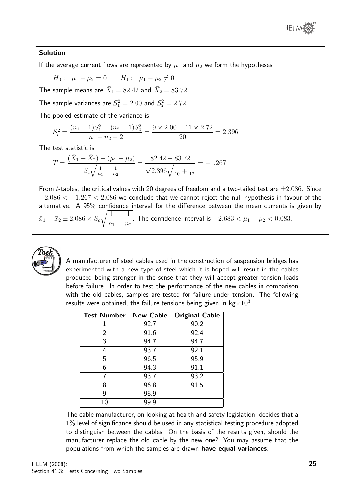

#### Solution

If the average current flows are represented by  $\mu_1$  and  $\mu_2$  we form the hypotheses

 $H_0: \mu_1 - \mu_2 = 0$   $H_1: \mu_1 - \mu_2 \neq 0$ 

The sample means are  $\bar{X}_1=82.42$  and  $\bar{X}_2=83.72.$ 

The sample variances are  $S_1^2 = 2.00$  and  $S_2^2 = 2.72$ .

The pooled estimate of the variance is

$$
S_c^2 = \frac{(n_1 - 1)S_1^2 + (n_2 - 1)S_2^2}{n_1 + n_2 - 2} = \frac{9 \times 2.00 + 11 \times 2.72}{20} = 2.396
$$

The test statistic is

$$
T = \frac{(\bar{X}_1 - \bar{X}_2) - (\mu_1 - \mu_2)}{S_c\sqrt{\frac{1}{n_1} + \frac{1}{n_2}}} = \frac{82.42 - 83.72}{\sqrt{2.396}\sqrt{\frac{1}{10} + \frac{1}{12}}} = -1.267
$$

From *t*-tables, the critical values with 20 degrees of freedom and a two-tailed test are  $\pm 2.086$ . Since  $-2.086 < -1.267 < 2.086$  we conclude that we cannot reject the null hypothesis in favour of the alternative. A 95% confidence interval for the difference between the mean currents is given by  $\bar{x}_1 - \bar{x}_2 \pm 2.086 \times S_c$  $\sqrt{1}$  $n<sub>1</sub>$  $+$ 1  $n<sub>2</sub>$ . The confidence interval is  $-2.683 < \mu_1 - \mu_2 < 0.083$ .



A manufacturer of steel cables used in the construction of suspension bridges has experimented with a new type of steel which it is hoped will result in the cables produced being stronger in the sense that they will accept greater tension loads before failure. In order to test the performance of the new cables in comparison with the old cables, samples are tested for failure under tension. The following results were obtained, the failure tensions being given in kg $\times 10^3$ .

| <b>Test Number</b> | <b>New Cable</b> | <b>Original Cable</b> |
|--------------------|------------------|-----------------------|
|                    | 92.7             | 90.2                  |
| 2                  | 91.6             | 92.4                  |
| 3                  | 94.7             | 94.7                  |
| 4                  | 93.7             | 92.1                  |
| 5                  | 96.5             | 95.9                  |
| 6                  | 94.3             | 91.1                  |
|                    | 93.7             | 93.2                  |
| 8                  | 96.8             | 91.5                  |
| g                  | 98.9             |                       |
| 10                 | 99.9             |                       |

The cable manufacturer, on looking at health and safety legislation, decides that a 1% level of significance should be used in any statistical testing procedure adopted to distinguish between the cables. On the basis of the results given, should the manufacturer replace the old cable by the new one? You may assume that the populations from which the samples are drawn have equal variances.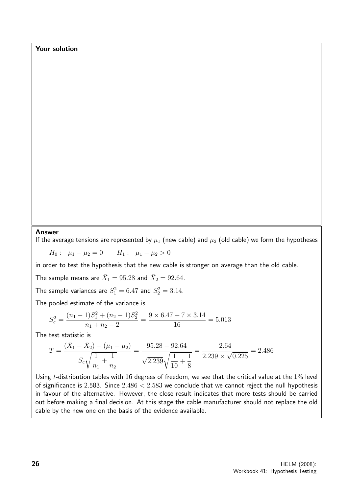Your solution

#### Answer

If the average tensions are represented by  $\mu_1$  (new cable) and  $\mu_2$  (old cable) we form the hypotheses

 $H_0: \mu_1 - \mu_2 = 0$   $H_1: \mu_1 - \mu_2 > 0$ 

in order to test the hypothesis that the new cable is stronger on average than the old cable.

The sample means are  $\bar X_1=95.28$  and  $\bar X_2=92.64.$ 

The sample variances are  $S_1^2 = 6.47$  and  $S_2^2 = 3.14$ .

The pooled estimate of the variance is

$$
S_c^2 = \frac{(n_1 - 1)S_1^2 + (n_2 - 1)S_2^2}{n_1 + n_2 - 2} = \frac{9 \times 6.47 + 7 \times 3.14}{16} = 5.013
$$

The test statistic is

$$
T = \frac{(\bar{X}_1 - \bar{X}_2) - (\mu_1 - \mu_2)}{S_c\sqrt{\frac{1}{n_1} + \frac{1}{n_2}}} = \frac{95.28 - 92.64}{\sqrt{2.239}\sqrt{\frac{1}{10} + \frac{1}{8}}} = \frac{2.64}{2.239 \times \sqrt{0.225}} = 2.486
$$

Using  $t$ -distribution tables with 16 degrees of freedom, we see that the critical value at the  $1\%$  level of significance is 2.583. Since  $2.486 < 2.583$  we conclude that we cannot reject the null hypothesis in favour of the alternative. However, the close result indicates that more tests should be carried out before making a final decision. At this stage the cable manufacturer should not replace the old cable by the new one on the basis of the evidence available.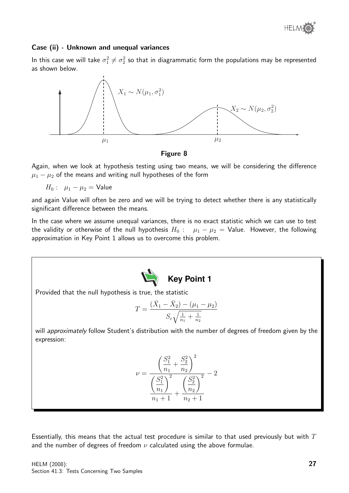

#### Case (ii) - Unknown and unequal variances

In this case we will take  $\sigma_1^2\neq\sigma_2^2$  so that in diagrammatic form the populations may be represented as shown below.



Figure 8

Again, when we look at hypothesis testing using two means, we will be considering the difference  $\mu_1 - \mu_2$  of the means and writing null hypotheses of the form

 $H_0: \mu_1 - \mu_2 = \text{Value}$ 

and again Value will often be zero and we will be trying to detect whether there is any statistically significant difference between the means.

In the case where we assume unequal variances, there is no exact statistic which we can use to test the validity or otherwise of the null hypothesis  $H_0$  :  $\mu_1 - \mu_2 =$  Value. However, the following approximation in Key Point 1 allows us to overcome this problem.



Provided that the null hypothesis is true, the statistic

$$
T = \frac{(\bar{X}_1 - \bar{X}_2) - (\mu_1 - \mu_2)}{S_c \sqrt{\frac{1}{n_1} + \frac{1}{n_2}}}
$$

will approximately follow Student's distribution with the number of degrees of freedom given by the expression:

$$
\nu = \frac{\left(\frac{S_1^2}{n_1} + \frac{S_2^2}{n_2}\right)^2}{\left(\frac{S_1^2}{n_1}\right)^2 + \left(\frac{S_2^2}{n_2}\right)^2} - 2
$$
  

$$
n_1 + 1 + \frac{S_2^2}{n_2 + 1}
$$

Essentially, this means that the actual test procedure is similar to that used previously but with  $T$ and the number of degrees of freedom  $\nu$  calculated using the above formulae.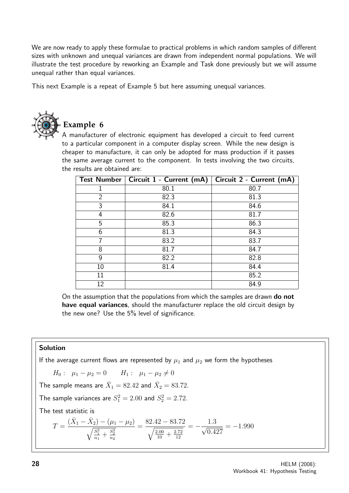We are now ready to apply these formulae to practical problems in which random samples of different sizes with unknown and unequal variances are drawn from independent normal populations. We will illustrate the test procedure by reworking an Example and Task done previously but we will assume unequal rather than equal variances.

This next Example is a repeat of Example 5 but here assuming unequal variances.



# **Example 6**

A manufacturer of electronic equipment has developed a circuit to feed current to a particular component in a computer display screen. While the new design is cheaper to manufacture, it can only be adopted for mass production if it passes the same average current to the component. In tests involving the two circuits, the results are obtained are:

|                | Test Number   Circuit 1 - Current (mA) | Circuit 2 - Current (mA) |
|----------------|----------------------------------------|--------------------------|
|                | 80.1                                   | 80.7                     |
| $\overline{2}$ | 82.3                                   | 81.3                     |
| 3              | 84.1                                   | 84.6                     |
| 4              | 82.6                                   | 81.7                     |
| 5              | 85.3                                   | 86.3                     |
| 6              | 81.3                                   | 84.3                     |
| 7              | 83.2                                   | 83.7                     |
| 8              | 81.7                                   | 84.7                     |
| 9              | 82.2                                   | 82.8                     |
| 10             | 81.4                                   | 84.4                     |
| 11             |                                        | 85.2                     |
| 12             |                                        | 84.9                     |

On the assumption that the populations from which the samples are drawn **do not** have equal variances, should the manufacturer replace the old circuit design by the new one? Use the 5% level of significance.

#### Solution

If the average current flows are represented by  $\mu_1$  and  $\mu_2$  we form the hypotheses

$$
H_0: \mu_1 - \mu_2 = 0 \qquad H_1: \mu_1 - \mu_2 \neq 0
$$
  
The sample means are  $\bar{X}_1 = 82.42$  and  $\bar{X}_2 = 83.72$ .  
The sample variances are  $S_1^2 = 2.00$  and  $S_2^2 = 2.72$ .  
The test statistic is  

$$
T = \frac{(\bar{X}_1 - \bar{X}_2) - (\mu_1 - \mu_2)}{\sqrt{\frac{S_1^2}{n_1} + \frac{S_2^2}{n_2}}} = \frac{82.42 - 83.72}{\sqrt{\frac{2.00}{10} + \frac{2.72}{12}}} = -\frac{1.3}{\sqrt{0.427}} = -1.990
$$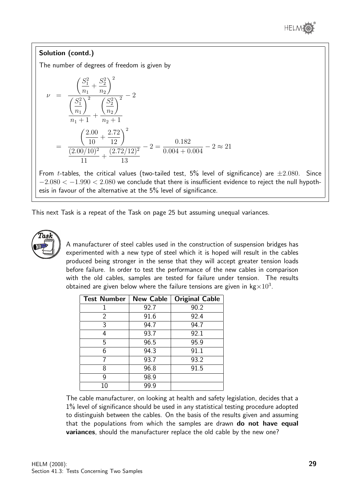

#### Solution (contd.)

The number of degrees of freedom is given by

$$
\nu = \frac{\left(\frac{S_1^2}{n_1} + \frac{S_2^2}{n_2}\right)^2}{\left(\frac{S_1^2}{n_1}\right)^2 + \left(\frac{S_2^2}{n_2}\right)^2} - 2
$$
  
= 
$$
\frac{\left(\frac{2.00}{10} + \frac{2.72}{12}\right)^2}{\frac{(2.00/10)^2}{11} + \frac{(2.72/12)^2}{13}} - 2 = \frac{0.182}{0.004 + 0.004} - 2 \approx 21
$$

From *t*-tables, the critical values (two-tailed test,  $5\%$  level of significance) are  $\pm 2.080$ . Since  $-2.080 < -1.990 < 2.080$  we conclude that there is insufficient evidence to reject the null hypothesis in favour of the alternative at the 5% level of significance.

This next Task is a repeat of the Task on page 25 but assuming unequal variances.



A manufacturer of steel cables used in the construction of suspension bridges has experimented with a new type of steel which it is hoped will result in the cables produced being stronger in the sense that they will accept greater tension loads before failure. In order to test the performance of the new cables in comparison with the old cables, samples are tested for failure under tension. The results obtained are given below where the failure tensions are given in kg $\times 10^3.$ 

| <b>Test Number</b> | <b>New Cable</b> | <b>Original Cable</b> |
|--------------------|------------------|-----------------------|
|                    | 92.7             | 90.2                  |
| 2                  | 91.6             | 92.4                  |
| 3                  | 94.7             | 94.7                  |
| 4                  | 93.7             | 92.1                  |
| 5                  | 96.5             | 95.9                  |
| 6                  | 94.3             | 91.1                  |
|                    | 93.7             | 93.2                  |
| 8                  | 96.8             | 91.5                  |
| g                  | 98.9             |                       |
| 10                 | 99.9             |                       |

The cable manufacturer, on looking at health and safety legislation, decides that a 1% level of significance should be used in any statistical testing procedure adopted to distinguish between the cables. On the basis of the results given and assuming that the populations from which the samples are drawn do not have equal variances, should the manufacturer replace the old cable by the new one?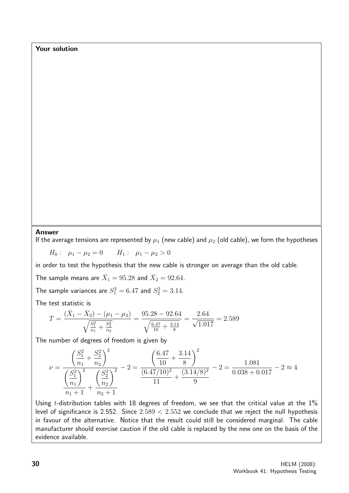Your solution

#### Answer

If the average tensions are represented by  $\mu_1$  (new cable) and  $\mu_2$  (old cable), we form the hypotheses

 $H_0: \mu_1 - \mu_2 = 0$   $H_1: \mu_1 - \mu_2 > 0$ 

in order to test the hypothesis that the new cable is stronger on average than the old cable.

The sample means are  $\bar X_1=95.28$  and  $\bar X_2=92.64.$ 

The sample variances are  $S_1^2 = 6.47$  and  $S_2^2 = 3.14$ .

The test statistic is

$$
T = \frac{(\bar{X}_1 - \bar{X}_2) - (\mu_1 - \mu_2)}{\sqrt{\frac{S_1^2}{n_1} + \frac{S_2^2}{n_2}}} = \frac{95.28 - 92.64}{\sqrt{\frac{6.47}{10} + \frac{3.14}{8}}} = \frac{2.64}{\sqrt{1.017}} = 2.589
$$

The number of degrees of freedom is given by

$$
\nu = \frac{\left(\frac{S_1^2}{n_1} + \frac{S_2^2}{n_2}\right)^2}{\left(\frac{S_1^2}{n_1}\right)^2 + \left(\frac{S_2^2}{n_2}\right)^2} - 2 = \frac{\left(\frac{6.47}{10} + \frac{3.14}{8}\right)^2}{\frac{(6.47/10)^2}{11} + \frac{(3.14/8)^2}{9}} - 2 = \frac{1.081}{0.038 + 0.017} - 2 \approx 4
$$

Using *t*-distribution tables with 18 degrees of freedom, we see that the critical value at the  $1\%$ level of significance is 2.552. Since  $2.589 < 2.552$  we conclude that we reject the null hypothesis in favour of the alternative. Notice that the result could still be considered marginal. The cable manufacturer should exercise caution if the old cable is replaced by the new one on the basis of the evidence available.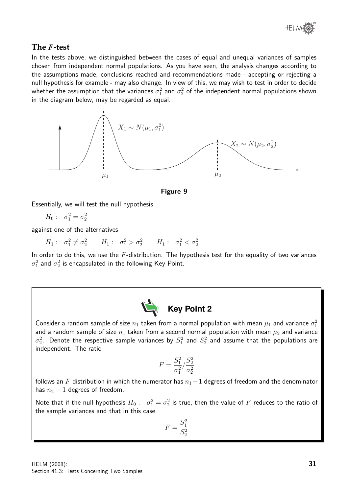

#### **The** F **-test**

In the tests above, we distinguished between the cases of equal and unequal variances of samples chosen from independent normal populations. As you have seen, the analysis changes according to the assumptions made, conclusions reached and recommendations made - accepting or rejecting a null hypothesis for example - may also change. In view of this, we may wish to test in order to decide whether the assumption that the variances  $\sigma_1^2$  and  $\sigma_2^2$  of the independent normal populations shown in the diagram below, may be regarded as equal.





Essentially, we will test the null hypothesis

$$
H_0: \quad \sigma_1^2 = \sigma_2^2
$$

against one of the alternatives

$$
H_1: \quad \sigma_1^2 \neq \sigma_2^2 \qquad H_1: \quad \sigma_1^2 > \sigma_2^2 \qquad H_1: \quad \sigma_1^2 < \sigma_2^2
$$

In order to do this, we use the  $F$ -distribution. The hypothesis test for the equality of two variances  $\sigma_1^2$  and  $\sigma_2^2$  is encapsulated in the following Key Point.



Consider a random sample of size  $n_1$  taken from a normal population with mean  $\mu_1$  and variance  $\sigma_1^2$ and a random sample of size  $n_1$  taken from a second normal population with mean  $\mu_2$  and variance  $\sigma_2^2$ . Denote the respective sample variances by  $S_1^2$  and  $S_2^2$  and assume that the populations are independent. The ratio

$$
F = \frac{S_1^2}{\sigma_1^2} / \frac{S_2^2}{\sigma_2^2}
$$

follows an F distribution in which the numerator has  $n_1-1$  degrees of freedom and the denominator has  $n_2 - 1$  degrees of freedom.

Note that if the null hypothesis  $H_0: \quad \sigma_1^2 = \sigma_2^2$  is true, then the value of  $F$  reduces to the ratio of the sample variances and that in this case

$$
F=\frac{S_1^2}{S_2^2}
$$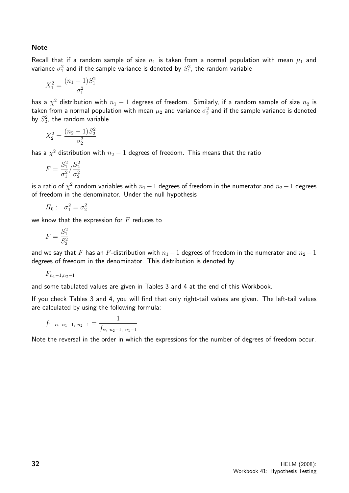Note

Recall that if a random sample of size  $n_1$  is taken from a normal population with mean  $\mu_1$  and variance  $\sigma_1^2$  and if the sample variance is denoted by  $S_1^2$ , the random variable

$$
X_1^2 = \frac{(n_1 - 1)S_1^2}{\sigma_1^2}
$$

has a  $\chi^2$  distribution with  $n_1-1$  degrees of freedom. Similarly, if a random sample of size  $n_2$  is taken from a normal population with mean  $\mu_2$  and variance  $\sigma_2^2$  and if the sample variance is denoted by  $S_2^2$ , the random variable

$$
X_2^2=\frac{(n_2-1)S_2^2}{\sigma_2^2}
$$

has a  $\chi^2$  distribution with  $n_2-1$  degrees of freedom. This means that the ratio

$$
F = \frac{S_1^2}{\sigma_1^2} / \frac{S_2^2}{\sigma_2^2}
$$

is a ratio of  $\chi^2$  random variables with  $n_1\!-\!1$  degrees of freedom in the numerator and  $n_2\!-\!1$  degrees of freedom in the denominator. Under the null hypothesis

 $H_0: \sigma_1^2 = \sigma_2^2$ 

we know that the expression for  $F$  reduces to

$$
F = \frac{S_1^2}{S_2^2}
$$

and we say that F has an F-distribution with  $n_1 - 1$  degrees of freedom in the numerator and  $n_2 - 1$ degrees of freedom in the denominator. This distribution is denoted by

$$
F_{n_1-1,n_2-1}
$$

and some tabulated values are given in Tables 3 and 4 at the end of this Workbook.

If you check Tables 3 and 4, you will find that only right-tail values are given. The left-tail values are calculated by using the following formula:

$$
f_{1-\alpha, n_1-1, n_2-1} = \frac{1}{f_{\alpha, n_2-1, n_1-1}}
$$

Note the reversal in the order in which the expressions for the number of degrees of freedom occur.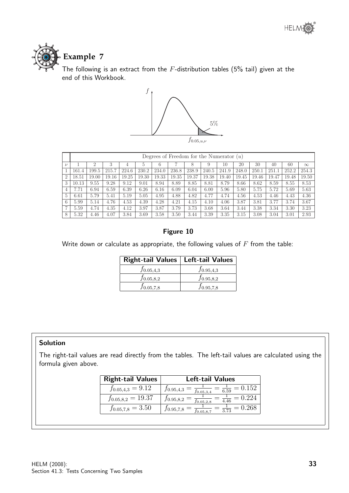

The following is an extract from the  $F$ -distribution tables (5% tail) given at the end of this Workbook.



|                |       | Degrees of Freedom for the Numerator $(u)$ |       |       |       |       |       |       |       |       |       |       |       |       |          |
|----------------|-------|--------------------------------------------|-------|-------|-------|-------|-------|-------|-------|-------|-------|-------|-------|-------|----------|
| $\nu$          |       | $\overline{2}$                             | 3     |       | 5     | 6     |       |       | 9     | 10    | 20    | 30    | 40    | 60    | $\infty$ |
|                | 161.4 | 199.5                                      | 215.7 | 224.6 | 230.2 | 234.0 | 236.8 | 238.9 | 240.5 | 241.9 | 248.0 | 250.1 | 251.1 | 252.2 | 254.3    |
| $\overline{2}$ | 18.51 | 19.00                                      | 19.16 | 19.25 | 19.30 | 19.33 | 19.35 | 19.37 | 19.38 | 19.40 | 19.45 | 19.46 | 19.47 | 19.48 | 19.50    |
| 3              | 10.13 | 9.55                                       | 9.28  | 9.12  | 9.01  | 8.94  | 8.89  | 8.85  | 8.81  | 8.79  | 8.66  | 8.62  | 8.59  | 8.55  | 8.53     |
| 4              | 7.71  | 6.94                                       | 6.59  | 6.39  | 6.26  | 6.16  | 6.09  | 6.04  | 6.00  | 5.96  | 5.80  | 5.75  | 5.72  | 5.69  | 5.63     |
| 5              | 6.61  | 5.79                                       | 5.41  | 5.19  | 5.05  | 4.95  | 4.88  | 4.82  | 4.77  | 4.74  | 4.56  | 4.53  | 4.46  | 4.43  | 4.36     |
| 6              | 5.99  | 5.14                                       | 4.76  | 4.53  | 4.39  | 4.28  | 4.21  | 4.15  | 4.10  | 4.06  | 3.87  | 3.81  | 3.77  | 3.74  | 3.67     |
| 7              | 5.59  | 4.74                                       | 4.35  | 4.12  | 3.97  | 3.87  | 3.79  | 3.73  | 3.68  | 3.64  | 3.44  | 3.38  | 3.34  | 3.30  | 3.23     |
| 8              | 5.32  | 4.46                                       | 4.07  | 3.84  | 3.69  | 3.58  | 3.50  | 3.44  | 3.39  | 3.35  | 3.15  | 3.08  | 3.04  | 3.01  | 2.93     |

#### Figure 10

Write down or calculate as appropriate, the following values of  $F$  from the table:

| Right-tail Values   Left-tail Values |                |
|--------------------------------------|----------------|
| $f_{0.05,4,3}$                       | $f_{0.95,4,3}$ |
| $f_{0.05,8,2}$                       | $f_{0.95,8,2}$ |
| $J_{0.05,7,8}$                       | $J_{0.95,7,8}$ |

#### Solution

The right-tail values are read directly from the tables. The left-tail values are calculated using the formula given above.

| <b>Right-tail Values</b> | <b>Left-tail Values</b>                                                       |
|--------------------------|-------------------------------------------------------------------------------|
| $f_{0.05,4,3} = 9.12$    | $=\frac{1}{6.59}=0.152$<br>$f_{0.95,4,3}$<br>$=\frac{1}{f_{0.05,3,4}}$        |
| $f_{0.05,8,2} = 19.37$   | $= 0.224$<br>$f_{0.95,8,2}$<br>$\overline{4.46}$<br>$\overline{f_{0.05,2,8}}$ |
| $f_{0.05,7,8} = 3.50$    | $J_{0.95,7,8}$<br>$\overline{3\ 73}$<br>$f_{0.05,8,7}$                        |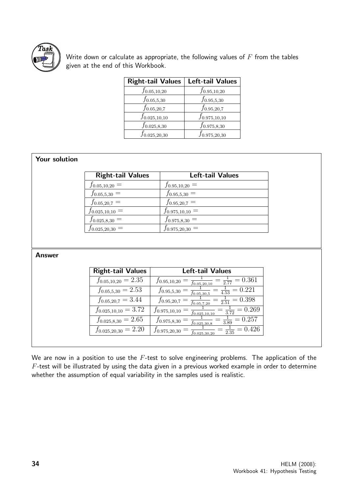

Write down or calculate as appropriate, the following values of  $F$  from the tables given at the end of this Workbook.

| <b>Right-tail Values</b> | <b>Left-tail Values</b> |
|--------------------------|-------------------------|
| $f_{0.05,10,20}$         | $f_{0.95,10,20}$        |
| $f_{0.05,5,30}$          | $f_{0.95,5,30}$         |
| $f_{0.05,20,7}$          | $f_{0.95,20,7}$         |
| $f_{0.025,10,10}$        | $f_{0.975,10,10}$       |
| $f_{0.025,8,30}$         | $f_{0.975,8,30}$        |
| $f_{0.025,20,30}$        | $f_{0.975,20,30}$       |

#### Your solution

| <b>Right-tail Values</b> | <b>Left-tail Values</b> |
|--------------------------|-------------------------|
| $f_{0.05,10,20} =$       | $f_{0.95,10,20} =$      |
| $f_{0.05,5,30} =$        | $f_{0.95,5,30} =$       |
| $f_{0.05,20,7} =$        | $f_{0.95,20,7} =$       |
| $f_{0.025,10,10} =$      | $f_{0.975,10,10} =$     |
| $f_{0.025,8,30} =$       | $f_{0.975,8,30} =$      |
| $f_{0.025,20,30} =$      | $f_{0.975,20,30} =$     |

#### Answer

| <b>Right-tail Values</b> | <b>Left-tail Values</b>                                                              |
|--------------------------|--------------------------------------------------------------------------------------|
| $f_{0.05,10,20} = 2.35$  | $\frac{1}{2.77} = 0.36\overline{1}$<br>$f_{0.95,10,20}$<br>$f_{0.05,20,10}$          |
| $f_{0.05,5,30} = 2.53$   | $\frac{1}{4.53} = 0.22\overline{1}$<br>$f_{0.95,5,30}$<br>$\overline{f_{0.05,30,5}}$ |
| $f_{0.05,20,7} = 3.44$   | $\frac{1}{2.51} = 0.398$<br>$f_{0.95,20,7}$<br>$\overline{f_{0.05,7,20}}$            |
| $f_{0.025,10,10} = 3.72$ | $\frac{1}{3.72} = 0.269$<br>$f_{0.975,10,10}$<br>$f_{0.025,10,10}$                   |
| $f_{0.025,8,30} = 2.65$  | $\frac{1}{3.89} = 0.257$<br>$f_{0.975,8,30}$<br>$f_{0.025,30,8}$                     |
| $f_{0.025,20,30} = 2.20$ | 0.426<br>$f_{0.975,20,30}$<br>$\frac{1}{2.35}$ =<br>$f_{0.025,30,20}$                |

We are now in a position to use the  $F$ -test to solve engineering problems. The application of the  $F$ -test will be illustrated by using the data given in a previous worked example in order to determine whether the assumption of equal variability in the samples used is realistic.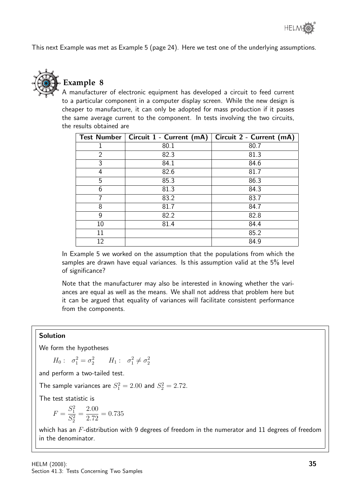This next Example was met as Example 5 (page 24). Here we test one of the underlying assumptions.



### **Example 8**

A manufacturer of electronic equipment has developed a circuit to feed current to a particular component in a computer display screen. While the new design is cheaper to manufacture, it can only be adopted for mass production if it passes the same average current to the component. In tests involving the two circuits, the results obtained are

|                | Test Number   Circuit 1 - Current (mA) | Circuit 2 - Current (mA) |
|----------------|----------------------------------------|--------------------------|
|                | 80.1                                   | 80.7                     |
| $\overline{2}$ | 82.3                                   | 81.3                     |
| 3              | 84.1                                   | 84.6                     |
| 4              | 82.6                                   | 81.7                     |
| 5              | 85.3                                   | 86.3                     |
| 6              | 81.3                                   | 84.3                     |
| 7              | 83.2                                   | 83.7                     |
| 8              | 81.7                                   | 84.7                     |
| 9              | 82.2                                   | 82.8                     |
| 10             | 81.4                                   | 84.4                     |
| 11             |                                        | 85.2                     |
| 12             |                                        | 84.9                     |

In Example 5 we worked on the assumption that the populations from which the samples are drawn have equal variances. Is this assumption valid at the 5% level of significance?

Note that the manufacturer may also be interested in knowing whether the variances are equal as well as the means. We shall not address that problem here but it can be argued that equality of variances will facilitate consistent performance from the components.

#### Solution

We form the hypotheses

$$
H_0: \quad \sigma_1^2 = \sigma_2^2 \qquad H_1: \quad \sigma_1^2 \neq \sigma_2^2
$$

and perform a two-tailed test.

The sample variances are  $S_1^2 = 2.00$  and  $S_2^2 = 2.72$ .

The test statistic is

$$
F = \frac{S_1^2}{S_2^2} = \frac{2.00}{2.72} = 0.735
$$

which has an  $F$ -distribution with 9 degrees of freedom in the numerator and 11 degrees of freedom in the denominator.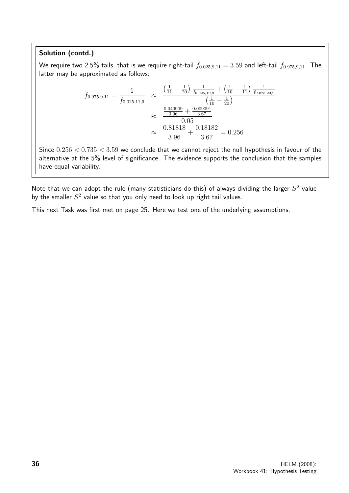#### Solution (contd.)

We require two 2.5% tails, that is we require right-tail  $f_{0.025,9,11} = 3.59$  and left-tail  $f_{0.975,9,11}$ . The latter may be approximated as follows:

$$
f_{0.975,9,11} = \frac{1}{f_{0.025,11,9}} \approx \frac{\left(\frac{1}{11} - \frac{1}{20}\right) \frac{1}{f_{0.025,10,9}} + \left(\frac{1}{10} - \frac{1}{11}\right) \frac{1}{f_{0.025,20,9}}}{\left(\frac{1}{10} - \frac{1}{20}\right)}
$$

$$
\approx \frac{\frac{0.040909}{3.96} + \frac{0.009091}{3.67}}{0.05}
$$

$$
\approx \frac{0.81818}{3.96} + \frac{0.18182}{3.67} = 0.256
$$

Since  $0.256 < 0.735 < 3.59$  we conclude that we cannot reject the null hypothesis in favour of the alternative at the 5% level of significance. The evidence supports the conclusion that the samples have equal variability.

Note that we can adopt the rule (many statisticians do this) of always dividing the larger  $S^2$  value by the smaller  $S^2$  value so that you only need to look up right tail values.

This next Task was first met on page 25. Here we test one of the underlying assumptions.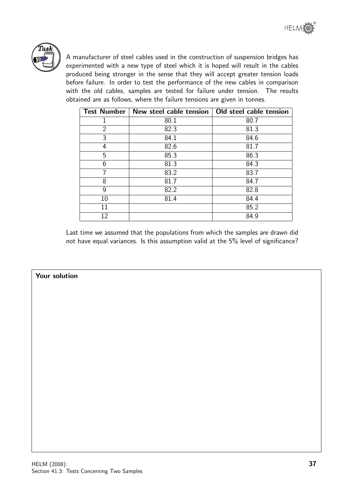

A manufacturer of steel cables used in the construction of suspension bridges has experimented with a new type of steel which it is hoped will result in the cables produced being stronger in the sense that they will accept greater tension loads before failure. In order to test the performance of the new cables in comparison with the old cables, samples are tested for failure under tension. The results obtained are as follows, where the failure tensions are given in tonnes.

| <b>Test Number</b> | New steel cable tension | Old steel cable tension |
|--------------------|-------------------------|-------------------------|
|                    | 80.1                    | 80.7                    |
| $\overline{2}$     | 82.3                    | 81.3                    |
| 3                  | 84.1                    | 84.6                    |
| 4                  | 82.6                    | 81.7                    |
| 5                  | 85.3                    | 86.3                    |
| 6                  | 81.3                    | 84.3                    |
| 7                  | 83.2                    | 83.7                    |
| 8                  | 81.7                    | 84.7                    |
| 9                  | 82.2                    | 82.8                    |
| 10                 | 81.4                    | 84.4                    |
| 11                 |                         | 85.2                    |
| 12                 |                         | 84.9                    |

Last time we assumed that the populations from which the samples are drawn did not have equal variances. Is this assumption valid at the 5% level of significance?

#### Your solution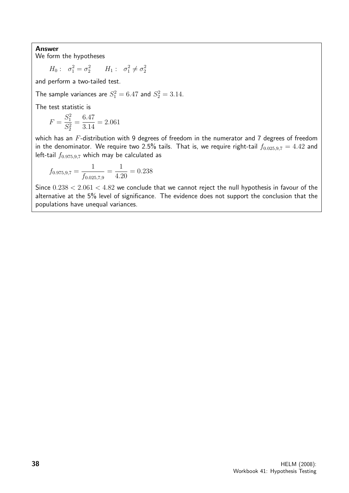Answer

We form the hypotheses

 $H_0: \quad \sigma_1^2 = \sigma_2^2 \qquad H_1: \quad \sigma_1^2 \neq \sigma_2^2$ 

and perform a two-tailed test.

The sample variances are  $S_1^2 = 6.47$  and  $S_2^2 = 3.14$ .

The test statistic is

$$
F = \frac{S_1^2}{S_2^2} = \frac{6.47}{3.14} = 2.061
$$

which has an F-distribution with 9 degrees of freedom in the numerator and 7 degrees of freedom in the denominator. We require two 2.5% tails. That is, we require right-tail  $f_{0.025,9,7} = 4.42$  and left-tail  $f_{0.975,9,7}$  which may be calculated as

$$
f_{0.975,9,7} = \frac{1}{f_{0.025,7,9}} = \frac{1}{4.20} = 0.238
$$

Since  $0.238 < 2.061 < 4.82$  we conclude that we cannot reject the null hypothesis in favour of the alternative at the 5% level of significance. The evidence does not support the conclusion that the populations have unequal variances.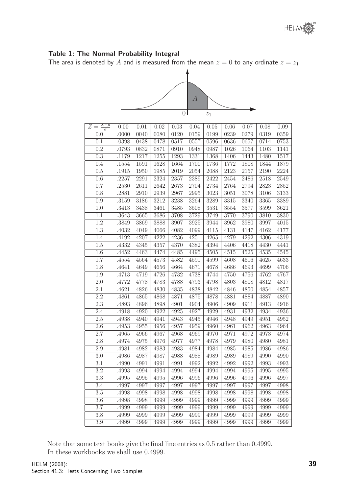The area is denoted by *A* and is measured from the mean  $z = 0$  to any ordinate z  $z_1$ .



|                       |                |              |              | $\overline{0}$ |              | $\mathcal{Z}_1$ |              |              |              |
|-----------------------|----------------|--------------|--------------|----------------|--------------|-----------------|--------------|--------------|--------------|
| $Z=\frac{X-\mu}{\mu}$ | 0.00           | 0.01         | 0.02         | 0.03           | 0.04         | 0.05            | 0.06         | 0.07         | 0.08         |
| 0.0                   | .0000          | 0040         | 0080         | 0120           | 0159         | 0199            | 0239         | 0279         | 0319         |
| 0.1                   | .0398          | 0438         | 0478         | 0517           | 0557         | 0596            | 0636         | 0657         | 0714         |
| 0.2                   | .0793          | 0832         | 0871         | 0910           | 0948         | 0987            | 1026         | 1064         | 1103         |
| 0.3                   | .1179          | 1217         | 1255         | 1293           | 1331         | 1368            | 1406         | 1443         | 1480         |
| 0.4                   | .1554          | 1591         | 1628         | 1664           | 1700         | 1736            | 1772         | 1808         | 1844         |
| 0.5                   | .1915          | 1950         | 1985         | 2019           | 2054         | 2088            | 2123         | 2157         | 2190         |
| 0.6                   | .2257          | 2291         | 2324         | 2357           | 2389         | 2422            | 2454         | 2486         | 2518         |
| 0.7                   | .2530          | 2611         | 2642         | 2673           | 2704         | 2734            | 2764         | 2794         | 2823         |
| 0.8                   | .2881          | 2910         | 2939         | 2967           | 2995         | 3023            | 3051         | 3078         | 3106         |
| 0.9                   | .3159          | 3186         | 3212         | 3238           | 3264         | 3289            | 3315         | 3340         | 3365         |
| 1.0<br>1.1            | .3413<br>.3643 | 3438<br>3665 | 3461<br>3686 | 3485<br>3708   | 3508<br>3729 | 3531<br>3749    | 3554<br>3770 | 3577<br>3790 | 3599<br>3810 |
| 1.2                   | .3849          | 3869         | 3888         | 3907           | 3925         | 3944            | 3962         | 3980         | 3997         |
| 1.3                   | .4032          | 4049         | 4066         | 4082           | 4099         | 4115            | 4131         | 4147         | 4162         |
| 1.4                   | .4192          | 4207         | 4222         | 4236           | 4251         | 4265            | 4279         | 4292         | 4306         |
| 1.5                   | .4332          | 4345         | 4357         | 4370           | 4382         | 4394            | 4406         | 4418         | 4430         |
| 1.6                   | .4452          | 4463         | 4474         | 4485           | 4495         | 4505            | 4515         | 4525         | 4535         |
| 1.7                   | .4554          | 4564         | 4573         | 4582           | 4591         | 4599            | 4608         | 4616         | 4625         |
| 1.8                   | .4641          | 4649         | 4656         | 4664           | 4671         | 4678            | 4686         | 4693         | 4699         |
| 1.9                   | .4713          | 4719         | 4726         | 4732           | 4738         | 4744            | 4750         | 4756         | 4762         |
| 2.0                   | .4772          | 4778         | 4783         | 4788           | 4793         | 4798            | 4803         | 4808         | 4812         |
| $2.1\,$               | .4621          | 4826         | 4830         | 4835           | 4838         | 4842            | 4846         | 4850         | 4854         |
| 2.2                   | .4861          | 4865         | 4868         | 4871           | 4875         | 4878            | 4881         | 4884         | 4887         |
| 2.3                   | .4893          | 4896         | 4898         | 4901           | 4904         | 4906            | 4909         | 4911         | 4913         |
| 2.4                   | .4918          | 4920         | 4922         | 4925           | 4927         | 4929            | 4931         | 4932         | 4934         |
| 2.5                   | .4938          | 4940         | 4941         | 4943           | 4945         | 4946            | 4948         | 4949         | 4951         |
| 2.6                   | .4953          | 4955         | 4956         | 4957           | 4959         | 4960            | 4961         | 4962         | 4963         |
| 2.7                   | .4965          | 4966         | 4967         | 4968           | 4969         | 4970            | 4971         | 4972         | 4973         |
| 2.8                   | .4974          | 4975         | 4976         | 4977           | 4977         | 4978            | 4979         | 4980         | 4980         |
| 2.9                   | .4981          | 4982         | 4983         | 4983           | 4984         | 4984            | 4985         | 4985         | 4986         |
| $3.0\,$               | .4986          | 4987         | 4987         | 4988           | 4988         | 4989            | 4989         | 4989         | 4990         |
| 3.1<br>3.2            | .4990<br>.4993 | 4991<br>4994 | 4991<br>4994 | 4991<br>4994   | 4992<br>4994 | 4992<br>4994    | 4992<br>4994 | 4992<br>4995 | 4993<br>4995 |
| 3.3                   | .4995          | 4995         | 4995         | 4996           | 4996         | 4996            | 4996         | 4996         | 4996         |
| 3.4                   | .4997          | 4997         | 4997         | 4997           | 4997         | 4997            | 4997         | 4997         | 4997         |
| $3.5\,$               | .4998          | 4998         | 4998         | 4998           | 4998         | 4998            | 4998         | 4998         | 4998         |
| 3.6                   | .4998          | 4998         | 4999         | 4999           | 4999         | 4999            | 4999         | 4999         | 4999         |
| 3.7                   | .4999          | 4999         | 4999         | 4999           | 4999         | 4999            | 4999         | 4999         | 4999         |
| 3.8                   | .4999          | 4999         | 4999         | 4999           | 4999         | 4999            | 4999         | 4999         | 4999         |
| $3.9\,$               | .4999          | 4999         | 4999         | 4999           | 4999         | 4999            | 4999         | 4999         | 4999         |

In these workbooks we shall use 0.4999.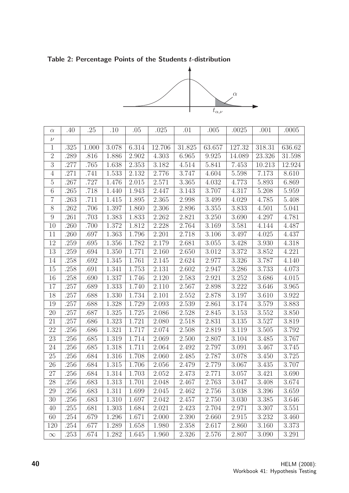Table 2: Percentage Points of the Students t-distribution



|                |      |       |       |       |        |        | $t_{\alpha,\nu}$ |        |        |                    |  |
|----------------|------|-------|-------|-------|--------|--------|------------------|--------|--------|--------------------|--|
|                |      |       |       |       |        |        |                  |        |        |                    |  |
| $\alpha$       | .40  | .25   | .10   | .05   | .025   | .01    | .005             | .0025  | .001   | .0005              |  |
| $\nu$          |      |       |       |       |        |        |                  |        |        |                    |  |
| $\mathbf{1}$   | .325 | 1.000 | 3.078 | 6.314 | 12.706 | 31.825 | 63.657           | 127.32 | 318.31 | 636.62             |  |
| $\sqrt{2}$     | .289 | .816  | 1.886 | 2.902 | 4.303  | 6.965  | 9.925            | 14.089 | 23.326 | 31.598             |  |
| $\sqrt{3}$     | .277 | .765  | 1.638 | 2.353 | 3.182  | 4.514  | 5.841            | 7.453  | 10.213 | 12.924             |  |
| 4              | .271 | .741  | 1.533 | 2.132 | 2.776  | 3.747  | 4.604            | 5.598  | 7.173  | 8.610              |  |
| $\mathbf 5$    | .267 | .727  | 1.476 | 2.015 | 2.571  | 3.365  | 4.032            | 4.773  | 5.893  | 6.869              |  |
| 6              | .265 | .718  | 1.440 | 1.943 | 2.447  | 3.143  | 3.707            | 4.317  | 5.208  | 5.959              |  |
| $\overline{7}$ | .263 | .711  | 1.415 | 1.895 | 2.365  | 2.998  | 3.499            | 4.029  | 4.785  | 5.408              |  |
| $8\,$          | .262 | .706  | 1.397 | 1.860 | 2.306  | 2.896  | 3.355            | 3.833  | 4.501  | 5.041              |  |
| $\overline{9}$ | .261 | .703  | 1.383 | 1.833 | 2.262  | 2.821  | 3.250            | 3.690  | 4.297  | 4.781              |  |
| 10             | 260  | .700  | 1.372 | 1.812 | 2.228  | 2.764  | 3.169            | 3.581  | 4.144  | 4.487              |  |
| 11             | .260 | .697  | 1.363 | 1.796 | 2.201  | 2.718  | $3.106\,$        | 3.497  | 4.025  | $4.43\overline{7}$ |  |
| 12             | .259 | .695  | 1.356 | 1.782 | 2.179  | 2.681  | 3.055            | 3.428  | 3.930  | 4.318              |  |
| 13             | .259 | .694  | 1.350 | 1.771 | 2.160  | 2.650  | 3.012            | 3.372  | 3.852  | 4.221              |  |
| 14             | .258 | .692  | 1.345 | 1.761 | 2.145  | 2.624  | 2.977            | 3.326  | 3.787  | 4.140              |  |
| 15             | .258 | .691  | 1.341 | 1.753 | 2.131  | 2.602  | 2.947            | 3.286  | 3.733  | 4.073              |  |
| 16             | .258 | .690  | 1.337 | 1.746 | 2.120  | 2.583  | 2.921            | 3.252  | 3.686  | 4.015              |  |
| 17             | .257 | .689  | 1.333 | 1.740 | 2.110  | 2.567  | 2.898            | 3.222  | 3.646  | 3.965              |  |
| 18             | .257 | .688  | 1.330 | 1.734 | 2.101  | 2.552  | 2.878            | 3.197  | 3.610  | 3.922              |  |
| 19             | .257 | .688  | 1.328 | 1.729 | 2.093  | 2.539  | 2.861            | 3.174  | 3.579  | 3.883              |  |
| 20             | .257 | .687  | 1.325 | 1.725 | 2.086  | 2.528  | 2.845            | 3.153  | 3.552  | 3.850              |  |
| 21             | .257 | .686  | 1.323 | 1.721 | 2.080  | 2.518  | 2.831            | 3.135  | 3.527  | 3.819              |  |
| 22             | .256 | .686  | 1.321 | 1.717 | 2.074  | 2.508  | 2.819            | 3.119  | 3.505  | 3.792              |  |
| 23             | .256 | .685  | 1.319 | 1.714 | 2.069  | 2.500  | 2.807            | 3.104  | 3.485  | 3.767              |  |
| 24             | .256 | .685  | 1.318 | 1.711 | 2.064  | 2.492  | 2.797            | 3.091  | 3.467  | 3.745              |  |
| 25             | .256 | .684  | 1.316 | 1.708 | 2.060  | 2.485  | 2.787            | 3.078  | 3.450  | 3.725              |  |
| 26             | .256 | .684  | 1.315 | 1.706 | 2.056  | 2.479  | 2.779            | 3.067  | 3.435  | 3.707              |  |
| 27             | .256 | .684  | 1.314 | 1.703 | 2.052  | 2.473  | 2.771            | 3.057  | 3.421  | 3.690              |  |
| 28             | .256 | .683  | 1.313 | 1.701 | 2.048  | 2.467  | 2.763            | 3.047  | 3.408  | 3.674              |  |
| 29             | .256 | .683  | 1.311 | 1.699 | 2.045  | 2.462  | 2.756            | 3.038  | 3.396  | 3.659              |  |
| 30             | .256 | .683  | 1.310 | 1.697 | 2.042  | 2.457  | 2.750            | 3.030  | 3.385  | 3.646              |  |
| 40             | .255 | .681  | 1.303 | 1.684 | 2.021  | 2.423  | 2.704            | 2.971  | 3.307  | 3.551              |  |
| 60             | .254 | .679  | 1.296 | 1.671 | 2.000  | 2.390  | 2.660            | 2.915  | 3.232  | 3.460              |  |
| 120            | .254 | .677  | 1.289 | 1.658 | 1.980  | 2.358  | 2.617            | 2.860  | 3.160  | 3.373              |  |
| $\infty$       | .253 | .674  | 1.282 | 1.645 | 1.960  | 2.326  | 2.576            | 2.807  | 3.090  | 3.291              |  |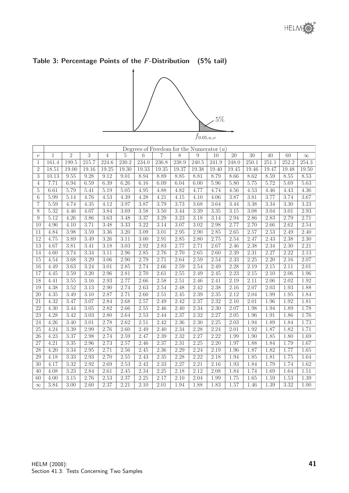# Table 3: Percentage Points of the  $F$ -Distribution (5% tail)



|                 | $J\,0.05, u,\nu$ |                   |                   |                    |        |       |       |       |                   |                                            |          |                   |       |       |          |
|-----------------|------------------|-------------------|-------------------|--------------------|--------|-------|-------|-------|-------------------|--------------------------------------------|----------|-------------------|-------|-------|----------|
|                 |                  |                   |                   |                    |        |       |       |       |                   | Degrees of Freedom for the Numerator $(u)$ |          |                   |       |       |          |
| $\nu$           | 1                | $\overline{2}$    | 3                 | $\overline{4}$     | 5      | 6     | 7     | 8     | 9                 | 10                                         | 20       | 30                | 40    | 60    | $\infty$ |
| $\mathbf{1}$    | 161.4            | 199.5             | 215.7             | $\overline{224.6}$ | 230.2  | 234.0 | 236.8 | 238.9 | 240.5             | 241.9                                      | 248.0    | 250.1             | 251.1 | 252.2 | 254.3    |
| $\overline{2}$  | 18.51            | 19.00             | 19.16             | 19.25              | 19.30  | 19.33 | 19.35 | 19.37 | 19.38             | 19.40                                      | 19.45    | 19.46             | 19.47 | 19.48 | 19.50    |
| 3               | 10.13            | 9.55              | 9.28              | 9.12               | 9.01   | 8.94  | 8.89  | 8.85  | 8.81              | 8.79                                       | 8.66     | 8.62              | 8.59  | 8.55  | 8.53     |
| $\overline{4}$  | 7.71             | 6.94              | 6.59              | 6.39               | 6.26   | 6.16  | 6.09  | 6.04  | 6.00              | 5.96                                       | 5.80     | 5.75              | 5.72  | 5.69  | 5.63     |
| $\overline{5}$  | 6.61             | 5.79              | 5.41              | 5.19               | $5.05$ | 4.95  | 4.88  | 4.82  | 4.77              | 4.74                                       | 4.56     | 4.53              | 4.46  | 4.43  | 4.36     |
| 6               | 5.99             | 5.14              | 4.76              | 4.53               | 4.39   | 4.28  | 4.21  | 4.15  | 4.10              | 4.06                                       | 3.87     | 3.81              | 3.77  | 3.74  | 3.67     |
| $\overline{7}$  | 5.59             | 4.74              | 4.35              | 4.12               | 3.97   | 3.87  | 3.79  | 3.73  | 3.68              | 3.64                                       | 3.44     | 3.38              | 3.34  | 3.30  | 3.23     |
| 8               | 5.32             | 4.46              | 4.07              | 3.84               | 3.69   | 3.58  | 3.50  | 3.44  | 3.39              | 3.35                                       | $3.15\,$ | 3.08              | 3.04  | 3.01  | 2.93     |
| 9               | 5.12             | 4.26              | 3.86              | 3.63               | 3.48   | 3.37  | 3.29  | 3.23  | 3.18              | 3.14                                       | 2.94     | 2.86              | 2.83  | 2.79  | 2.71     |
| 10              | 4.96             | 4.10              | 3.71              | 3.48               | 3.33   | 3.22  | 3.14  | 3.07  | $\overline{3.02}$ | 2.98                                       | 2.77     | 2.70              | 2.66  | 2.62  | 2.54     |
| 11              | 4.84             | 3.98              | 3.59              | 3.36               | 3.20   | 3.09  | 3.01  | 2.95  | 2.90              | 2.85                                       | 2.65     | 2.57              | 2.53  | 2.49  | 2.40     |
| 12              | 4.75             | $\overline{3.89}$ | 3.49              | 3.26               | 3.11   | 3.00  | 2.91  | 2.85  | 2.80              | 2.75                                       | 2.54     | 2.47              | 2.43  | 2.38  | 2.30     |
| 13              | 4.67             | 3.81              | 3.41              | 3.18               | 3.03   | 2.92  | 2.83  | 2.77  | 2.71              | 2.67                                       | 2.46     | 2.38              | 2.34  | 2.30  | 2.21     |
| 14              | 4.60             | 3.74              | 3.34              | 3.11               | 2.96   | 2.85  | 2.76  | 2.70  | 2.65              | 2.60                                       | 2.39     | 2.31              | 2.27  | 2.22  | 2.13     |
| 15              | 4.54             | 3.68              | 3.29              | $\overline{3.06}$  | 2.90   | 2.79  | 2.71  | 2.64  | 2.59              | 2.54                                       | 2.33     | 2.25              | 2.20  | 2.16  | 2.07     |
| 16              | 4.49             | 3.63              | 3.24              | $\overline{3.0}1$  | 2.85   | 2.74  | 2.66  | 2.59  | 2.54              | 2.49                                       | 2.28     | 2.19              | 2.15  | 2.11  | 2.01     |
| $\overline{17}$ | 4.45             | 3.59              | 3.20              | 2.96               | 2.81   | 2.70  | 2.61  | 2.55  | 2.49              | 2.45                                       | 2.23     | 2.15              | 2.10  | 2.06  | 1.96     |
| $\overline{18}$ | 4.41             | 3.55              | 3.16              | 2.93               | 2.77   | 2.66  | 2.58  | 2.51  | 2.46              | 2.41                                       | 2.19     | 2.11              | 2.06  | 2.02  | 1.92     |
| 19              | 4.38             | 3.52              | 3.13              | 2.90               | 2.74   | 2.63  | 2.54  | 2.48  | 2.42              | 2.38                                       | 2.16     | 2.07              | 2.03  | 1.93  | 1.88     |
| 20              | 4.35             | 3.49              | 3.10              | 2.87               | 2.71   | 2.60  | 2.51  | 2.45  | 2.39              | 2.35                                       | 2.12     | $\overline{2.04}$ | 1.99  | 1.95  | 1.84     |
| 21              | 4.32             | 3.47              | 3.07              | 2.84               | 2.68   | 2.57  | 2.49  | 2.42  | 2.37              | 2.32                                       | 2.10     | 2.01              | 1.96  | 1.92  | 1.81     |
| 22              | 4.30             | 3.44              | $\overline{3.05}$ | 2.82               | 2.66   | 2.55  | 2.46  | 2.40  | 2.34              | 2.30                                       | 2.07     | 1.98              | 1.94  | 1.89  | 1.78     |
| $\overline{23}$ | 4.28             | 3.42              | $\overline{3.03}$ | 2.80               | 2.64   | 2.53  | 2.44  | 2.37  | 2.32              | 2.27                                       | 2.05     | 1.96              | 1.91  | 1.86  | 1.76     |
| $\overline{24}$ | 4.26             | $\overline{3.40}$ | 3.01              | 2.78               | 2.62   | 2.51  | 2.42  | 2.36  | 2.30              | 2.25                                       | 2.03     | 1.94              | 1.89  | 1.84  | 1.73     |
| 25              | 4.24             | 3.39              | 2.99              | 2.76               | 2.60   | 2.49  | 2.40  | 2.34  | 2.28              | 2.24                                       | 2.01     | 1.92              | 1.87  | 1.82  | 1.71     |
| 26              | 4.23             | 3.37              | 2.98              | 2.74               | 2.59   | 2.47  | 2.39  | 2.32  | 2.27              | 2.22                                       | 1.99     | 1.90              | 1.85  | 1.80  | 1.69     |
| 27              | 4.21             | 3.35              | 2.96              | 2.73               | 2.57   | 2.46  | 2.37  | 2.31  | 2.25              | 2.20                                       | 1.97     | 1.88              | 1.84  | 1.79  | 1.67     |
| $\overline{28}$ | 4.20             | 3.34              | 2.95              | 2.71               | 2.56   | 2.45  | 2.36  | 2.29  | 2.24              | 2.19                                       | 1.96     | 1.87              | 1.82  | 1.77  | 1.65     |
| 29              | 4.18             | 3.33              | 2.93              | 2.70               | 2.55   | 2.43  | 2.35  | 2.28  | 2.22              | 2.18                                       | 1.94     | 1.85              | 1.81  | 1.75  | 1.64     |
| 30              | 4.17             | 3.32              | 2.92              | 2.69               | 2.53   | 2.42  | 2.33  | 2.27  | 2.21              | 2.16                                       | 1.93     | 1.84              | 1.79  | 1.74  | 1.62     |
| 40              | 4.08             | 3.23              | 2.84              | 2.61               | 2.45   | 2.34  | 2.25  | 2.18  | 2.12              | 2.08                                       | 1.84     | 1.74              | 1.69  | 1.64  | 1.51     |
| 60              | 4.00             | $3.15\,$          | 2.76              | 2.53               | 2.37   | 2.25  | 2.17  | 2.10  | 2.04              | 1.99                                       | 1.75     | 1.65              | 1.59  | 1.53  | 1.39     |
| $\infty$        | 3.84             | 3.00              | 2.60              | 2.37               | 2.21   | 2.10  | 2.01  | 1.94  | 1.88              | 1.83                                       | 1.57     | 1.46              | 1.39  | 3.32  | 1.00     |